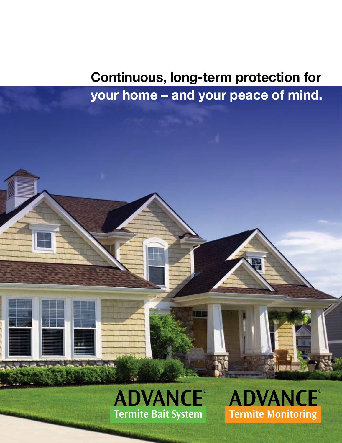# **Continuous, long-term protection for your home – and your peace of mind.**



**ADVANCE® Termite Monitoring**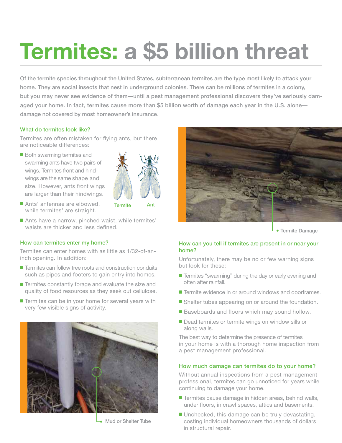# **Termites: a \$5 billion threat**

Of the termite species throughout the United States, subterranean termites are the type most likely to attack your home. They are social insects that nest in underground colonies. There can be millions of termites in a colony, but you may never see evidence of them—until a pest management professional discovers they've seriously damaged your home. In fact, termites cause more than \$5 billion worth of damage each year in the U.S. alone damage not covered by most homeowner's insurance.

#### What do termites look like?

Termites are often mistaken for flying ants, but there are noticeable differences:

 $\blacksquare$  Both swarming termites and swarming ants have two pairs of wings. Termites front and hindwings are the same shape and size. However, ants front wings are larger than their hindwings.



Termite Ant

- Ants' antennae are elbowed, while termites' are straight.
- Ants have a narrow, pinched waist, while termites' waists are thicker and less defined.

#### How can termites enter my home?

Termites can enter homes with as little as 1/32-of-aninch opening. In addition:

- $\blacksquare$  Termites can follow tree roots and construction conduits such as pipes and footers to gain entry into homes.
- $\blacksquare$  Termites constantly forage and evaluate the size and quality of food resources as they seek out cellulose.
- $\blacksquare$  Termites can be in your home for several years with very few visible signs of activity.



**Mud or Shelter Tube** 



**Termite Damage** 

#### How can you tell if termites are present in or near your home?

Unfortunately, there may be no or few warning signs but look for these:

- Termites "swarming" during the day or early evening and often after rainfall.
- Termite evidence in or around windows and doorframes.
- Shelter tubes appearing on or around the foundation.
- Baseboards and floors which may sound hollow.
- Dead termites or termite wings on window sills or along walls.

The best way to determine the presence of termites in your home is with a thorough home inspection from a pest management professional.

#### How much damage can termites do to your home?

Without annual inspections from a pest management professional, termites can go unnoticed for years while continuing to damage your home.

- Termites cause damage in hidden areas, behind walls, under floors, in crawl spaces, attics and basements.
- $\blacksquare$  Unchecked, this damage can be truly devastating, costing individual homeowners thousands of dollars in structural repair.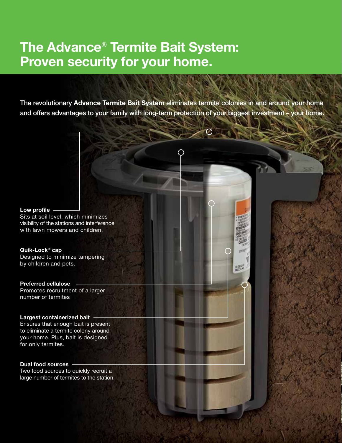### **The Advance**® **Termite Bait System: Proven security for your home.**

The revolutionary **Advance Termite Bait System** eliminates termite colonies in and around your home and offers advantages to your family with long-term protection of your biggest investment – your home.

上がる

#### **Low profile**

Sits at soil level, which minimizes visibility of the stations and interference with lawn mowers and children.

**Quik-Lock® cap** Designed to minimize tampering by children and pets.

#### **Preferred cellulose**

Promotes recruitment of a larger number of termites

#### **Largest containerized bait**

Ensures that enough bait is present to eliminate a termite colony around your home. Plus, bait is designed for only termites.

#### **Dual food sources**

Two food sources to quickly recruit a large number of termites to the station.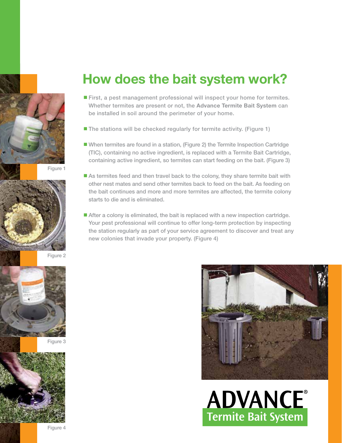



Figure 2





### **How does the bait system work?**

- First, a pest management professional will inspect your home for termites. Whether termites are present or not, the **Advance Termite Bait System** can be installed in soil around the perimeter of your home.
- $\blacksquare$  The stations will be checked regularly for termite activity. (Figure 1)
- n When termites are found in a station, (Figure 2) the Termite Inspection Cartridge (TIC), containing no active ingredient, is replaced with a Termite Bait Cartridge, containing active ingredient, so termites can start feeding on the bait. (Figure 3)
- $\blacksquare$  As termites feed and then travel back to the colony, they share termite bait with other nest mates and send other termites back to feed on the bait. As feeding on the bait continues and more and more termites are affected, the termite colony starts to die and is eliminated.
- After a colony is eliminated, the bait is replaced with a new inspection cartridge. Your pest professional will continue to offer long-term protection by inspecting the station regularly as part of your service agreement to discover and treat any new colonies that invade your property. (Figure 4)



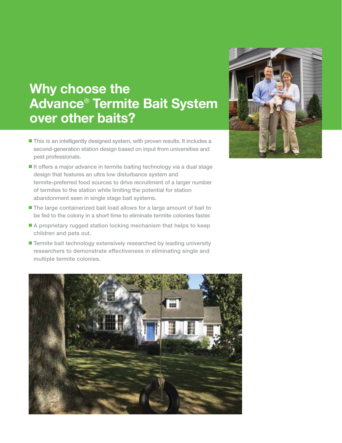## **Why choose the Advance**® **Termite Bait System over other baits?**

- This is an intelligently designed system, with proven results. It includes a second-generation station design based on input from universities and pest professionals.
- It offers a major advance in termite baiting technology via a dual stage design that features an ultra low disturbance system and termite-preferred food sources to drive recruitment of a larger number of termites to the station while limiting the potential for station abandonment seen in single stage bait systems.
- The large containerized bait load allows for a large amount of bait to be fed to the colony in a short time to eliminate termite colonies faster.
- $\blacksquare$  A proprietary rugged station locking mechanism that helps to keep children and pets out.
- Termite bait technology extensively researched by leading university researchers to demonstrate effectiveness in eliminating single and multiple termite colonies.